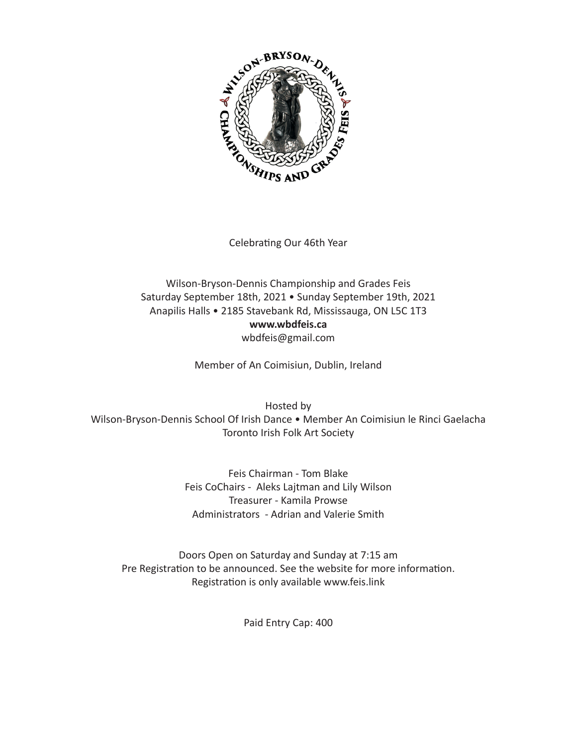

Celebrating Our 46th Year

# Wilson-Bryson-Dennis Championship and Grades Feis Saturday September 18th, 2021 . Sunday September 19th, 2021 Anapilis Halls · 2185 Stavebank Rd, Mississauga, ON L5C 1T3 www.wbdfeis.ca wbdfeis@gmail.com

Member of An Coimisiun, Dublin, Ireland

Hosted by Wilson-Bryson-Dennis School Of Irish Dance . Member An Coimisiun le Rinci Gaelacha Toronto Irish Folk Art Society

> Feis Chairman - Tom Blake Feis CoChairs - Aleks Lajtman and Lily Wilson Treasurer - Kamila Prowse Administrators - Adrian and Valerie Smith

Doors Open on Saturday and Sunday at 7:15 am Pre Registration to be announced. See the website for more information. Registration is only available www.feis.link

Paid Entry Cap: 400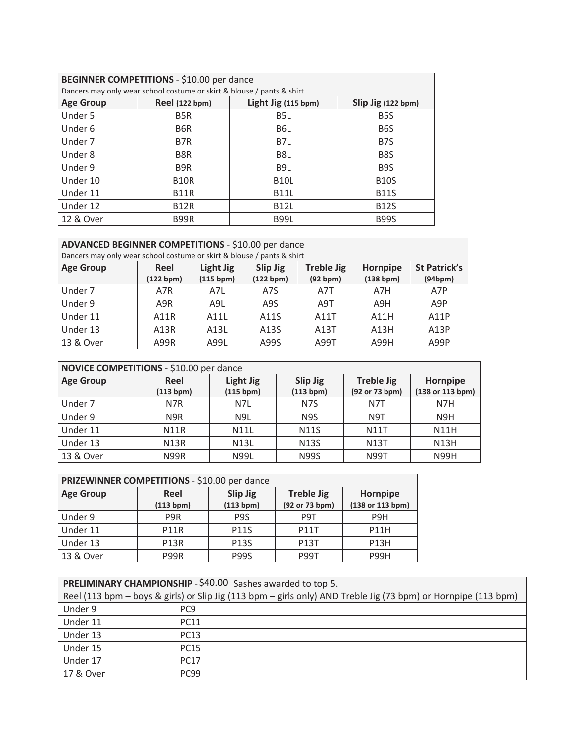| BEGINNER COMPETITIONS - \$10.00 per dance |                                                                        |                     |                    |
|-------------------------------------------|------------------------------------------------------------------------|---------------------|--------------------|
|                                           | Dancers may only wear school costume or skirt & blouse / pants & shirt |                     |                    |
| <b>Age Group</b>                          | <b>Reel (122 bpm)</b>                                                  | Light Jig (115 bpm) | Slip Jig (122 bpm) |
| Under 5                                   | B <sub>5</sub> R                                                       | B <sub>5</sub> L    | B <sub>5</sub> S   |
| Under 6                                   | B6R                                                                    | B6L                 | B <sub>6</sub> S   |
| Under 7                                   | B7R                                                                    | B7L                 | B <sub>7</sub> S   |
| Under 8                                   | B <sub>8</sub> R                                                       | B <sub>8</sub> L    | B <sub>8</sub> S   |
| Under 9                                   | B <sub>9R</sub>                                                        | B9L                 | B <sub>9</sub> S   |
| Under 10                                  | <b>B10R</b>                                                            | <b>B10L</b>         | <b>B10S</b>        |
| Under 11                                  | <b>B11R</b>                                                            | <b>B11L</b>         | <b>B11S</b>        |
| Under 12                                  | <b>B12R</b>                                                            | <b>B12L</b>         | <b>B12S</b>        |
| 12 & Over                                 | <b>B99R</b>                                                            | <b>B99L</b>         | <b>B99S</b>        |

| ADVANCED BEGINNER COMPETITIONS - \$10.00 per dance                     |                                                                |                  |           |                  |           |                     |
|------------------------------------------------------------------------|----------------------------------------------------------------|------------------|-----------|------------------|-----------|---------------------|
| Dancers may only wear school costume or skirt & blouse / pants & shirt |                                                                |                  |           |                  |           |                     |
| <b>Age Group</b>                                                       | Light Jig<br>Slip Jig<br><b>Treble Jig</b><br>Reel<br>Hornpipe |                  |           |                  |           | <b>St Patrick's</b> |
|                                                                        | (122 bpm)                                                      | (115 bpm)        | (122 bpm) | (92 bpm)         | (138 bpm) | (94bpm)             |
| Under 7                                                                | A7R                                                            | A7L              | A7S       | A7T              | A7H       | A7P                 |
| Under 9                                                                | A9R                                                            | A <sub>9</sub> L | A9S       | A <sub>9</sub> T | A9H       | A <sub>9</sub> P    |
| Under 11                                                               | A11R                                                           | A11L             | A11S      | A11T             | A11H      | A11P                |
| Under 13                                                               | A <sub>13</sub> R                                              | A13L             | A13S      | A13T             | A13H      | A13P                |
| 13 & Over                                                              | A99R                                                           | A99L             | A99S      | A99T             | A99H      | A99P                |

| NOVICE COMPETITIONS - \$10.00 per dance |                  |                  |                  |                   |                  |
|-----------------------------------------|------------------|------------------|------------------|-------------------|------------------|
| <b>Age Group</b>                        | Reel             | Light Jig        | Slip Jig         | <b>Treble Jig</b> | Hornpipe         |
|                                         | (113 bpm)        | (115 bpm)        | (113 bpm)        | (92 or 73 bpm)    | (138 or 113 bpm) |
| Under 7                                 | N7R              | N7L              | N <sub>7</sub> S | N7T               | N7H              |
| Under 9                                 | N <sub>9</sub> R | N <sub>9</sub> L | N <sub>9</sub> S | N <sub>9</sub> T  | N <sub>9</sub> H |
| Under 11                                | <b>N11R</b>      | <b>N11L</b>      | <b>N11S</b>      | <b>N11T</b>       | <b>N11H</b>      |
| Under 13                                | <b>N13R</b>      | <b>N13L</b>      | <b>N13S</b>      | <b>N13T</b>       | <b>N13H</b>      |
| 13 & Over                               | <b>N99R</b>      | <b>N99L</b>      | <b>N99S</b>      | <b>N99T</b>       | N99H             |

| PRIZEWINNER COMPETITIONS - \$10.00 per dance |                  |                  |                   |                  |
|----------------------------------------------|------------------|------------------|-------------------|------------------|
| <b>Age Group</b>                             | Reel             | <b>Slip Jig</b>  | <b>Treble Jig</b> | Hornpipe         |
|                                              | (113 bpm)        | (113 bpm)        | (92 or 73 bpm)    | (138 or 113 bpm) |
| Under 9                                      | P <sub>9</sub> R | P <sub>9</sub> S | P <sub>9</sub> T  | P <sub>9</sub> H |
| Under 11                                     | <b>P11R</b>      | <b>P11S</b>      | <b>P11T</b>       | <b>P11H</b>      |
| Under 13                                     | <b>P13R</b>      | <b>P13S</b>      | <b>P13T</b>       | <b>P13H</b>      |
| 13 & Over                                    | P99R             | <b>P99S</b>      | <b>P99T</b>       | <b>P99H</b>      |

| PRELIMINARY CHAMPIONSHIP - \$40.00 Sashes awarded to top 5. |                                                                                                                |  |  |
|-------------------------------------------------------------|----------------------------------------------------------------------------------------------------------------|--|--|
|                                                             | Reel (113 bpm - boys & girls) or Slip Jig (113 bpm - girls only) AND Treble Jig (73 bpm) or Hornpipe (113 bpm) |  |  |
| Under 9                                                     | PC <sub>9</sub>                                                                                                |  |  |
| Under 11                                                    | <b>PC11</b>                                                                                                    |  |  |
| Under 13                                                    | <b>PC13</b>                                                                                                    |  |  |
| Under 15                                                    | <b>PC15</b>                                                                                                    |  |  |
| Under 17                                                    | <b>PC17</b>                                                                                                    |  |  |
| 17 & Over                                                   | PC <sub>99</sub>                                                                                               |  |  |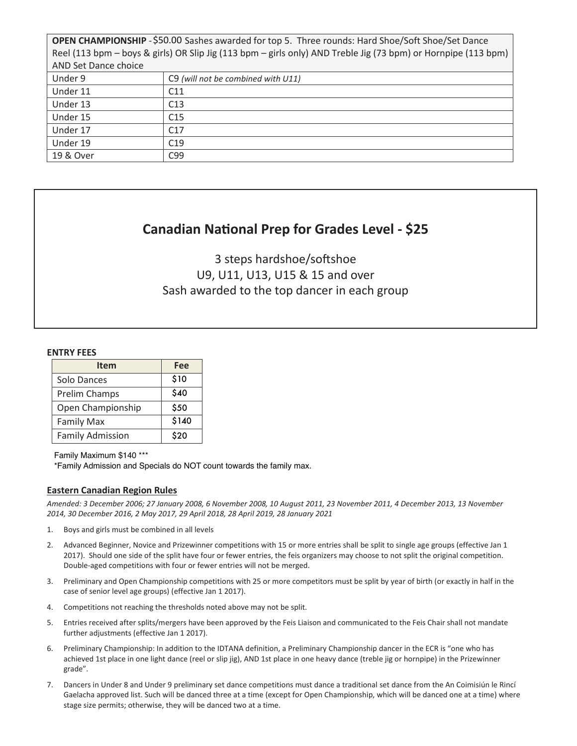OPEN CHAMPIONSHIP - \$50.00 Sashes awarded for top 5. Three rounds: Hard Shoe/Soft Shoe/Set Dance Reel (113 bpm – boys & girls) OR Slip Jig (113 bpm – girls only) AND Treble Jig (73 bpm) or Hornpipe (113 bpm) AND Set Dance choice

| THUS SEE DUITEC CITORED |                                    |
|-------------------------|------------------------------------|
| Under 9                 | C9 (will not be combined with U11) |
| Under 11                | C11                                |
| Under 13                | C13                                |
| Under 15                | C <sub>15</sub>                    |
| Under 17                | C <sub>17</sub>                    |
| Under 19                | C19                                |
| 19 & Over               | C99                                |

# **Canadian National Prep for Grades Level - \$25**

 $3.38<sub>0</sub>$  and  $3.31<sub>0</sub>$  and  $3.31<sub>0</sub>$  and  $3.31<sub>0</sub>$ U9, U11, U13, U15 & 15 and over 3 steps hardshoe/softshoe Sash awarded to the top dancer in each group

#### **ENTRY FEES**

| Item                    | Fee   |
|-------------------------|-------|
| Solo Dances             | \$10  |
| Prelim Champs           | \$40  |
| Open Championship       | \$50  |
| <b>Family Max</b>       | \$140 |
| <b>Family Admission</b> | \$20  |

Family Maximum \$140 \*\*\* \*Family Admission and Specials do NOT count towards the family max.

## **Eastern Canadian Region Rules**

*Amended: 3 December 2006; 27 January 2008, 6 November 2008, 10 August 2011, 23 November 2011, 4 December 2013, 13 November 2014, 30 December 2016, 2 May 2017, 29 April 2018, 28 April 2019, 28 January 2021*

- 1. Boys and girls must be combined in all levels
- 2. Advanced Beginner, Novice and Prizewinner competitions with 15 or more entries shall be split to single age groups (effective Jan 1 2017). Should one side of the split have four or fewer entries, the feis organizers may choose to not split the original competition. Double-aged competitions with four or fewer entries will not be merged.
- 3. Preliminary and Open Championship competitions with 25 or more competitors must be split by year of birth (or exactly in half in the case of senior level age groups) (effective Jan 1 2017).
- 4. Competitions not reaching the thresholds noted above may not be split.
- 5. Entries received after splits/mergers have been approved by the Feis Liaison and communicated to the Feis Chair shall not mandate further adjustments (effective Jan 1 2017).
- 6. Preliminary Championship: In addition to the IDTANA definition, a Preliminary Championship dancer in the ECR is "one who has achieved 1st place in one light dance (reel or slip jig), AND 1st place in one heavy dance (treble jig or hornpipe) in the Prizewinner grade".
- 7. Dancers in Under 8 and Under 9 preliminary set dance competitions must dance a traditional set dance from the An Coimisiún le Rincí Gaelacha approved list. Such will be danced three at a time (except for Open Championship, which will be danced one at a time) where stage size permits; otherwise, they will be danced two at a time.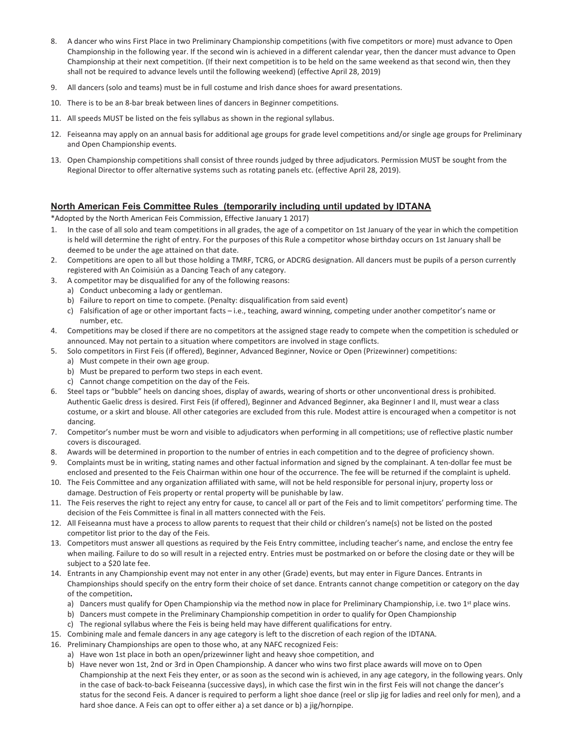- 8. A dancer who wins First Place in two Preliminary Championship competitions (with five competitors or more) must advance to Open Championship in the following year. If the second win is achieved in a different calendar year, then the dancer must advance to Open Championship at their next competition. (If their next competition is to be held on the same weekend as that second win, then they shall not be required to advance levels until the following weekend) (effective April 28, 2019)
- 9. All dancers (solo and teams) must be in full costume and Irish dance shoes for award presentations.
- 10. There is to be an 8-bar break between lines of dancers in Beginner competitions.
- 11. All speeds MUST be listed on the feis syllabus as shown in the regional syllabus.
- 12. Feiseanna may apply on an annual basis for additional age groups for grade level competitions and/or single age groups for Preliminary and Open Championship events.
- 13. Open Championship competitions shall consist of three rounds judged by three adjudicators. Permission MUST be sought from the Regional Director to offer alternative systems such as rotating panels etc. (effective April 28, 2019).

## **North American Feis Committee Rules (temporarily including until updated by IDTANA**

\*Adopted by the North American Feis Commission, Effective January 1 2017)

- 1. In the case of all solo and team competitions in all grades, the age of a competitor on 1st January of the year in which the competition is held will determine the right of entry. For the purposes of this Rule a competitor whose birthday occurs on 1st January shall be deemed to be under the age attained on that date.
- 2. Competitions are open to all but those holding a TMRF, TCRG, or ADCRG designation. All dancers must be pupils of a person currently registered with An Coimisiún as a Dancing Teach of any category.
- 3. A competitor may be disqualified for any of the following reasons:
	- a) Conduct unbecoming a lady or gentleman.
		- b) Failure to report on time to compete. (Penalty: disqualification from said event)
	- c) Falsification of age or other important facts i.e., teaching, award winning, competing under another competitor's name or number, etc.
- 4. Competitions may be closed if there are no competitors at the assigned stage ready to compete when the competition is scheduled or announced. May not pertain to a situation where competitors are involved in stage conflicts.
- 5. Solo competitors in First Feis (if offered), Beginner, Advanced Beginner, Novice or Open (Prizewinner) competitions:
	- a) Must compete in their own age group.
	- b) Must be prepared to perform two steps in each event.
	- c) Cannot change competition on the day of the Feis.
- 6. Steel taps or "bubble" heels on dancing shoes, display of awards, wearing of shorts or other unconventional dress is prohibited. Authentic Gaelic dress is desired. First Feis (if offered), Beginner and Advanced Beginner, aka Beginner I and II, must wear a class costume, or a skirt and blouse. All other categories are excluded from this rule. Modest attire is encouraged when a competitor is not dancing.
- 7. Competitor's number must be worn and visible to adjudicators when performing in all competitions; use of reflective plastic number covers is discouraged.
- 8. Awards will be determined in proportion to the number of entries in each competition and to the degree of proficiency shown.
- 9. Complaints must be in writing, stating names and other factual information and signed by the complainant. A ten-dollar fee must be enclosed and presented to the Feis Chairman within one hour of the occurrence. The fee will be returned if the complaint is upheld.
- 10. The Feis Committee and any organization affiliated with same, will not be held responsible for personal injury, property loss or damage. Destruction of Feis property or rental property will be punishable by law.
- 11. The Feis reserves the right to reject any entry for cause, to cancel all or part of the Feis and to limit competitors' performing time. The decision of the Feis Committee is final in all matters connected with the Feis.
- 12. All Feiseanna must have a process to allow parents to request that their child or children's name(s) not be listed on the posted competitor list prior to the day of the Feis.
- 13. Competitors must answer all questions as required by the Feis Entry committee, including teacher's name, and enclose the entry fee when mailing. Failure to do so will result in a rejected entry. Entries must be postmarked on or before the closing date or they will be subject to a \$20 late fee.
- 14. Entrants in any Championship event may not enter in any other (Grade) events, but may enter in Figure Dances. Entrants in Championships should specify on the entry form their choice of set dance. Entrants cannot change competition or category on the day of the competition**.** 
	- a) Dancers must qualify for Open Championship via the method now in place for Preliminary Championship, i.e. two  $1<sup>st</sup>$  place wins.
	- b) Dancers must compete in the Preliminary Championship competition in order to qualify for Open Championship
	- c) The regional syllabus where the Feis is being held may have different qualifications for entry.
- 15. Combining male and female dancers in any age category is left to the discretion of each region of the IDTANA.
- 16. Preliminary Championships are open to those who, at any NAFC recognized Feis:
	- a) Have won 1st place in both an open/prizewinner light and heavy shoe competition, and
	- b) Have never won 1st, 2nd or 3rd in Open Championship. A dancer who wins two first place awards will move on to Open Championship at the next Feis they enter, or as soon as the second win is achieved, in any age category, in the following years. Only in the case of back-to-back Feiseanna (successive days), in which case the first win in the first Feis will not change the dancer's status for the second Feis. A dancer is required to perform a light shoe dance (reel or slip jig for ladies and reel only for men), and a hard shoe dance. A Feis can opt to offer either a) a set dance or b) a jig/hornpipe.